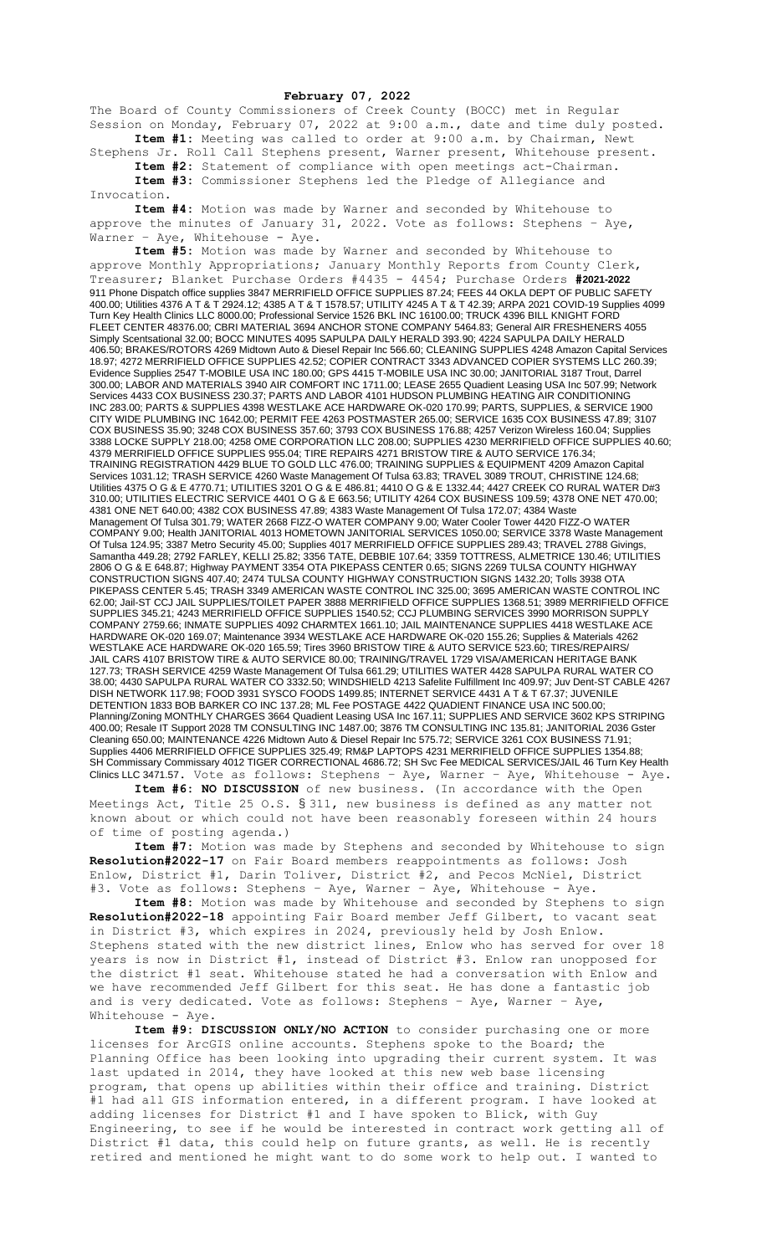## **February 07, 2022**

The Board of County Commissioners of Creek County (BOCC) met in Regular Session on Monday, February 07, 2022 at 9:00 a.m., date and time duly posted. **Item #1:** Meeting was called to order at 9:00 a.m. by Chairman, Newt

Stephens Jr. Roll Call Stephens present, Warner present, Whitehouse present. **Item #2:** Statement of compliance with open meetings act-Chairman. **Item #3:** Commissioner Stephens led the Pledge of Allegiance and

Invocation.

**Item #4:** Motion was made by Warner and seconded by Whitehouse to approve the minutes of January 31, 2022. Vote as follows: Stephens - Aye, Warner - Aye, Whitehouse - Aye.

**Item #5:** Motion was made by Warner and seconded by Whitehouse to approve Monthly Appropriations; January Monthly Reports from County Clerk, Treasurer; Blanket Purchase Orders #4435 - 4454; Purchase Orders **#2021-2022** 911 Phone Dispatch office supplies 3847 MERRIFIELD OFFICE SUPPLIES 87.24; FEES 44 OKLA DEPT OF PUBLIC SAFETY 400.00; Utilities 4376 A T & T 2924.12; 4385 A T & T 1578.57; UTILITY 4245 A T & T 42.39; ARPA 2021 COVID-19 Supplies 4099 Turn Key Health Clinics LLC 8000.00; Professional Service 1526 BKL INC 16100.00; TRUCK 4396 BILL KNIGHT FORD FLEET CENTER 48376.00; CBRI MATERIAL 3694 ANCHOR STONE COMPANY 5464.83; General AIR FRESHENERS 4055 Simply Scentsational 32.00; BOCC MINUTES 4095 SAPULPA DAILY HERALD 393.90; 4224 SAPULPA DAILY HERALD 406.50; BRAKES/ROTORS 4269 Midtown Auto & Diesel Repair Inc 566.60; CLEANING SUPPLIES 4248 Amazon Capital Services 18.97; 4272 MERRIFIELD OFFICE SUPPLIES 42.52; COPIER CONTRACT 3343 ADVANCED COPIER SYSTEMS LLC 260.39; Evidence Supplies 2547 T-MOBILE USA INC 180.00; GPS 4415 T-MOBILE USA INC 30.00; JANITORIAL 3187 Trout, Darrel 300.00; LABOR AND MATERIALS 3940 AIR COMFORT INC 1711.00; LEASE 2655 Quadient Leasing USA Inc 507.99; Network Services 4433 COX BUSINESS 230.37; PARTS AND LABOR 4101 HUDSON PLUMBING HEATING AIR CONDITIONING INC 283.00; PARTS & SUPPLIES 4398 WESTLAKE ACE HARDWARE OK-020 170.99; PARTS, SUPPLIES, & SERVICE 1900 CITY WIDE PLUMBING INC 1642.00; PERMIT FEE 4263 POSTMASTER 265.00; SERVICE 1635 COX BUSINESS 47.89; 3107 COX BUSINESS 35.90; 3248 COX BUSINESS 357.60; 3793 COX BUSINESS 176.88; 4257 Verizon Wireless 160.04; Supplies 3388 LOCKE SUPPLY 218.00; 4258 OME CORPORATION LLC 208.00; SUPPLIES 4230 MERRIFIELD OFFICE SUPPLIES 40.60; 4379 MERRIFIELD OFFICE SUPPLIES 955.04; TIRE REPAIRS 4271 BRISTOW TIRE & AUTO SERVICE 176.34; TRAINING REGISTRATION 4429 BLUE TO GOLD LLC 476.00; TRAINING SUPPLIES & EQUIPMENT 4209 Amazon Capital Services 1031.12; TRASH SERVICE 4260 Waste Management Of Tulsa 63.83; TRAVEL 3089 TROUT, CHRISTINE 124.68; Utilities 4375 O G & E 4770.71; UTILITIES 3201 O G & E 486.81; 4410 O G & E 1332.44; 4427 CREEK CO RURAL WATER D#3 310.00; UTILITIES ELECTRIC SERVICE 4401 O G & E 663.56; UTILITY 4264 COX BUSINESS 109.59; 4378 ONE NET 470.00; 4381 ONE NET 640.00; 4382 COX BUSINESS 47.89; 4383 Waste Management Of Tulsa 172.07; 4384 Waste Management Of Tulsa 301.79; WATER 2668 FIZZ-O WATER COMPANY 9.00; Water Cooler Tower 4420 FIZZ-O WATER COMPANY 9.00; Health JANITORIAL 4013 HOMETOWN JANITORIAL SERVICES 1050.00; SERVICE 3378 Waste Management Of Tulsa 124.95; 3387 Metro Security 45.00; Supplies 4017 MERRIFIELD OFFICE SUPPLIES 289.43; TRAVEL 2788 Givings, Samantha 449.28; 2792 FARLEY, KELLI 25.82; 3356 TATE, DEBBIE 107.64; 3359 TOTTRESS, ALMETRICE 130.46; UTILITIES 2806 O G & E 648.87; Highway PAYMENT 3354 OTA PIKEPASS CENTER 0.65; SIGNS 2269 TULSA COUNTY HIGHWAY CONSTRUCTION SIGNS 407.40; 2474 TULSA COUNTY HIGHWAY CONSTRUCTION SIGNS 1432.20; Tolls 3938 OTA PIKEPASS CENTER 5.45; TRASH 3349 AMERICAN WASTE CONTROL INC 325.00; 3695 AMERICAN WASTE CONTROL INC 62.00; Jail-ST CCJ JAIL SUPPLIES/TOILET PAPER 3888 MERRIFIELD OFFICE SUPPLIES 1368.51; 3989 MERRIFIELD OFFICE SUPPLIES 345.21; 4243 MERRIFIELD OFFICE SUPPLIES 1540.52; CCJ PLUMBING SERVICES 3990 MORRISON SUPPLY COMPANY 2759.66; INMATE SUPPLIES 4092 CHARMTEX 1661.10; JAIL MAINTENANCE SUPPLIES 4418 WESTLAKE ACE HARDWARE OK-020 169.07; Maintenance 3934 WESTLAKE ACE HARDWARE OK-020 155.26; Supplies & Materials 4262 WESTLAKE ACE HARDWARE OK-020 165.59; Tires 3960 BRISTOW TIRE & AUTO SERVICE 523.60; TIRES/REPAIRS/ JAIL CARS 4107 BRISTOW TIRE & AUTO SERVICE 80.00; TRAINING/TRAVEL 1729 VISA/AMERICAN HERITAGE BANK 127.73; TRASH SERVICE 4259 Waste Management Of Tulsa 661.29; UTILITIES WATER 4428 SAPULPA RURAL WATER CO 38.00; 4430 SAPULPA RURAL WATER CO 3332.50; WINDSHIELD 4213 Safelite Fulfillment Inc 409.97; Juv Dent-ST CABLE 4267 DISH NETWORK 117.98; FOOD 3931 SYSCO FOODS 1499.85; INTERNET SERVICE 4431 A T & T 67.37; JUVENILE DETENTION 1833 BOB BARKER CO INC 137.28; ML Fee POSTAGE 4422 QUADIENT FINANCE USA INC 500.00; Planning/Zoning MONTHLY CHARGES 3664 Quadient Leasing USA Inc 167.11; SUPPLIES AND SERVICE 3602 KPS STRIPING 400.00; Resale IT Support 2028 TM CONSULTING INC 1487.00; 3876 TM CONSULTING INC 135.81; JANITORIAL 2036 Gster Cleaning 650.00; MAINTENANCE 4226 Midtown Auto & Diesel Repair Inc 575.72; SERVICE 3261 COX BUSINESS 71.91; Supplies 4406 MERRIFIELD OFFICE SUPPLIES 325.49; RM&P LAPTOPS 4231 MERRIFIELD OFFICE SUPPLIES 1354.88; SH Commissary Commissary 4012 TIGER CORRECTIONAL 4686.72; SH Svc Fee MEDICAL SERVICES/JAIL 46 Turn Key Health Clinics LLC 3471.57. Vote as follows: Stephens – Aye, Warner – Aye, Whitehouse - Aye.

**Item #6: NO DISCUSSION** of new business. (In accordance with the Open Meetings Act, Title 25 O.S. § 311, new business is defined as any matter not known about or which could not have been reasonably foreseen within 24 hours of time of posting agenda.)

**Item #7:** Motion was made by Stephens and seconded by Whitehouse to sign **Resolution#2022-17** on Fair Board members reappointments as follows: Josh Enlow, District #1, Darin Toliver, District #2, and Pecos McNiel, District #3. Vote as follows: Stephens - Aye, Warner - Aye, Whitehouse - Aye.

**Item #8:** Motion was made by Whitehouse and seconded by Stephens to sign **Resolution#2022-18** appointing Fair Board member Jeff Gilbert, to vacant seat in District #3, which expires in 2024, previously held by Josh Enlow. Stephens stated with the new district lines, Enlow who has served for over 18 years is now in District #1, instead of District #3. Enlow ran unopposed for the district #1 seat. Whitehouse stated he had a conversation with Enlow and we have recommended Jeff Gilbert for this seat. He has done a fantastic job and is very dedicated. Vote as follows: Stephens – Aye, Warner – Aye, Whitehouse - Aye.

**Item #9: DISCUSSION ONLY/NO ACTION** to consider purchasing one or more licenses for ArcGIS online accounts. Stephens spoke to the Board; the Planning Office has been looking into upgrading their current system. It was last updated in 2014, they have looked at this new web base licensing program, that opens up abilities within their office and training. District #1 had all GIS information entered, in a different program. I have looked at adding licenses for District #1 and I have spoken to Blick, with Guy Engineering, to see if he would be interested in contract work getting all of District #1 data, this could help on future grants, as well. He is recently retired and mentioned he might want to do some work to help out. I wanted to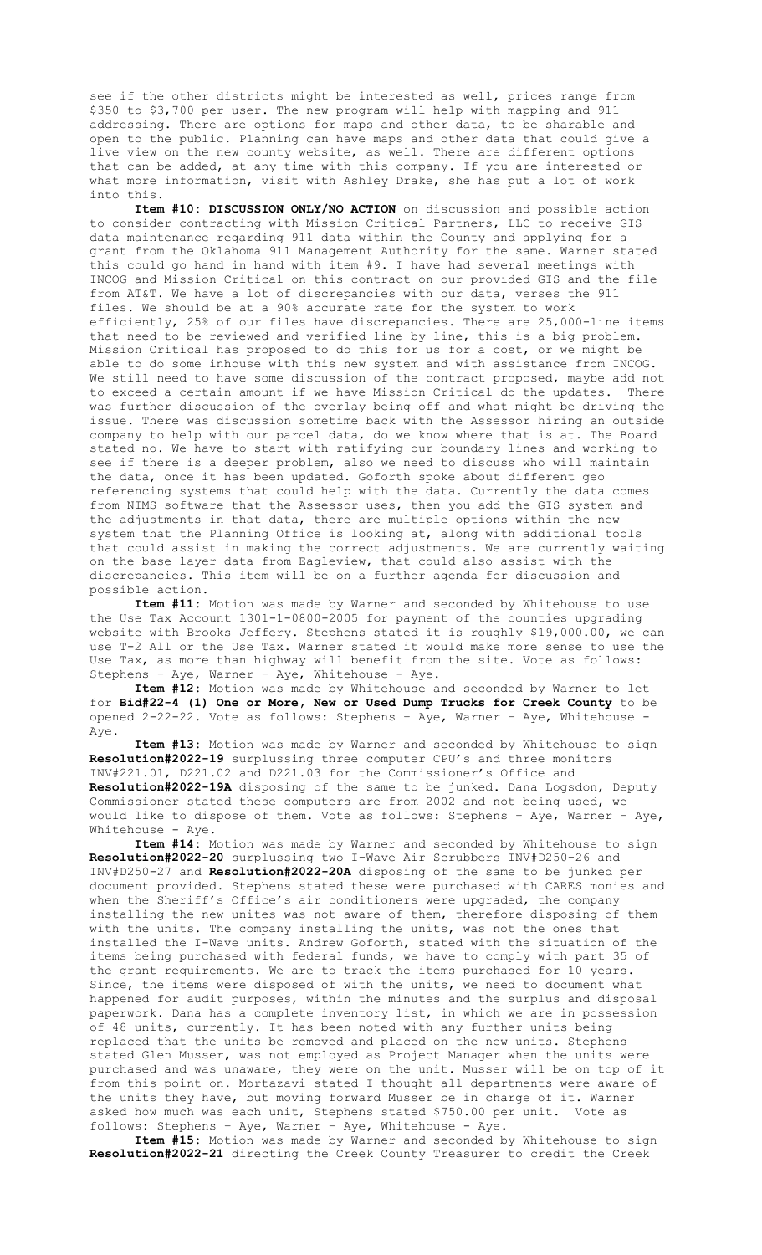see if the other districts might be interested as well, prices range from \$350 to \$3,700 per user. The new program will help with mapping and 911 addressing. There are options for maps and other data, to be sharable and open to the public. Planning can have maps and other data that could give a live view on the new county website, as well. There are different options that can be added, at any time with this company. If you are interested or what more information, visit with Ashley Drake, she has put a lot of work into this.

**Item #10: DISCUSSION ONLY/NO ACTION** on discussion and possible action to consider contracting with Mission Critical Partners, LLC to receive GIS data maintenance regarding 911 data within the County and applying for a grant from the Oklahoma 911 Management Authority for the same. Warner stated this could go hand in hand with item #9. I have had several meetings with INCOG and Mission Critical on this contract on our provided GIS and the file from AT&T. We have a lot of discrepancies with our data, verses the 911 files. We should be at a 90% accurate rate for the system to work efficiently, 25% of our files have discrepancies. There are 25,000-line items that need to be reviewed and verified line by line, this is a big problem. Mission Critical has proposed to do this for us for a cost, or we might be able to do some inhouse with this new system and with assistance from INCOG. We still need to have some discussion of the contract proposed, maybe add not to exceed a certain amount if we have Mission Critical do the updates. There was further discussion of the overlay being off and what might be driving the issue. There was discussion sometime back with the Assessor hiring an outside company to help with our parcel data, do we know where that is at. The Board stated no. We have to start with ratifying our boundary lines and working to see if there is a deeper problem, also we need to discuss who will maintain the data, once it has been updated. Goforth spoke about different geo referencing systems that could help with the data. Currently the data comes from NIMS software that the Assessor uses, then you add the GIS system and the adjustments in that data, there are multiple options within the new system that the Planning Office is looking at, along with additional tools that could assist in making the correct adjustments. We are currently waiting on the base layer data from Eagleview, that could also assist with the discrepancies. This item will be on a further agenda for discussion and possible action.

**Item #11:** Motion was made by Warner and seconded by Whitehouse to use the Use Tax Account 1301-1-0800-2005 for payment of the counties upgrading website with Brooks Jeffery. Stephens stated it is roughly \$19,000.00, we can use T-2 All or the Use Tax. Warner stated it would make more sense to use the Use Tax, as more than highway will benefit from the site. Vote as follows: Stephens – Aye, Warner – Aye, Whitehouse - Aye.

**Item #12:** Motion was made by Whitehouse and seconded by Warner to let for **Bid#22-4 (1) One or More, New or Used Dump Trucks for Creek County** to be opened 2-22-22. Vote as follows: Stephens – Aye, Warner – Aye, Whitehouse - Aye.

**Item #13:** Motion was made by Warner and seconded by Whitehouse to sign **Resolution#2022-19** surplussing three computer CPU's and three monitors INV#221.01, D221.02 and D221.03 for the Commissioner's Office and **Resolution#2022-19A** disposing of the same to be junked. Dana Logsdon, Deputy Commissioner stated these computers are from 2002 and not being used, we would like to dispose of them. Vote as follows: Stephens - Aye, Warner - Aye, Whitehouse - Aye.

**Item #14:** Motion was made by Warner and seconded by Whitehouse to sign **Resolution#2022-20** surplussing two I-Wave Air Scrubbers INV#D250-26 and INV#D250-27 and **Resolution#2022-20A** disposing of the same to be junked per document provided. Stephens stated these were purchased with CARES monies and when the Sheriff's Office's air conditioners were upgraded, the company installing the new unites was not aware of them, therefore disposing of them with the units. The company installing the units, was not the ones that installed the I-Wave units. Andrew Goforth, stated with the situation of the items being purchased with federal funds, we have to comply with part 35 of the grant requirements. We are to track the items purchased for 10 years. Since, the items were disposed of with the units, we need to document what happened for audit purposes, within the minutes and the surplus and disposal paperwork. Dana has a complete inventory list, in which we are in possession of 48 units, currently. It has been noted with any further units being replaced that the units be removed and placed on the new units. Stephens stated Glen Musser, was not employed as Project Manager when the units were purchased and was unaware, they were on the unit. Musser will be on top of it from this point on. Mortazavi stated I thought all departments were aware of the units they have, but moving forward Musser be in charge of it. Warner asked how much was each unit, Stephens stated \$750.00 per unit. Vote as follows: Stephens – Aye, Warner – Aye, Whitehouse - Aye.

**Item #15:** Motion was made by Warner and seconded by Whitehouse to sign **Resolution#2022-21** directing the Creek County Treasurer to credit the Creek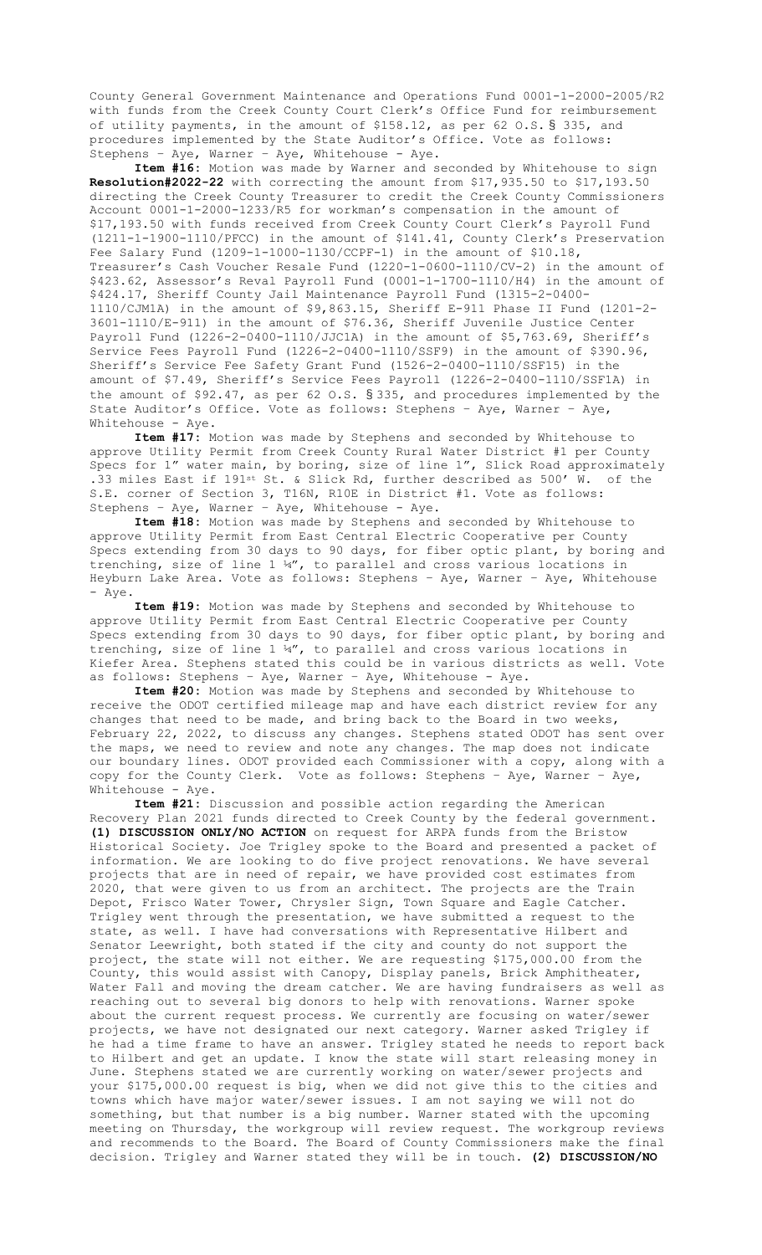County General Government Maintenance and Operations Fund 0001-1-2000-2005/R2 with funds from the Creek County Court Clerk's Office Fund for reimbursement of utility payments, in the amount of \$158.12, as per 62 O.S. § 335, and procedures implemented by the State Auditor's Office. Vote as follows: Stephens – Aye, Warner – Aye, Whitehouse - Aye.

**Item #16:** Motion was made by Warner and seconded by Whitehouse to sign **Resolution#2022-22** with correcting the amount from \$17,935.50 to \$17,193.50 directing the Creek County Treasurer to credit the Creek County Commissioners Account 0001-1-2000-1233/R5 for workman's compensation in the amount of \$17,193.50 with funds received from Creek County Court Clerk's Payroll Fund (1211-1-1900-1110/PFCC) in the amount of \$141.41, County Clerk's Preservation Fee Salary Fund (1209-1-1000-1130/CCPF-1) in the amount of \$10.18, Treasurer's Cash Voucher Resale Fund (1220-1-0600-1110/CV-2) in the amount of \$423.62, Assessor's Reval Payroll Fund (0001-1-1700-1110/H4) in the amount of \$424.17, Sheriff County Jail Maintenance Payroll Fund (1315-2-0400- 1110/CJM1A) in the amount of \$9,863.15, Sheriff E-911 Phase II Fund (1201-2- 3601-1110/E-911) in the amount of \$76.36, Sheriff Juvenile Justice Center Payroll Fund (1226-2-0400-1110/JJC1A) in the amount of \$5,763.69, Sheriff's Service Fees Payroll Fund (1226-2-0400-1110/SSF9) in the amount of \$390.96, Sheriff's Service Fee Safety Grant Fund (1526-2-0400-1110/SSF15) in the amount of \$7.49, Sheriff's Service Fees Payroll (1226-2-0400-1110/SSF1A) in the amount of \$92.47, as per 62 O.S. § 335, and procedures implemented by the State Auditor's Office. Vote as follows: Stephens – Aye, Warner – Aye, Whitehouse - Aye.

**Item #17:** Motion was made by Stephens and seconded by Whitehouse to approve Utility Permit from Creek County Rural Water District #1 per County Specs for 1" water main, by boring, size of line 1", Slick Road approximately .33 miles East if 191st St. & Slick Rd, further described as 500' W. of the S.E. corner of Section 3, T16N, R10E in District #1. Vote as follows: Stephens – Aye, Warner – Aye, Whitehouse - Aye.

**Item #18:** Motion was made by Stephens and seconded by Whitehouse to approve Utility Permit from East Central Electric Cooperative per County Specs extending from 30 days to 90 days, for fiber optic plant, by boring and trenching, size of line 1 ¼", to parallel and cross various locations in Heyburn Lake Area. Vote as follows: Stephens – Aye, Warner – Aye, Whitehouse - Aye.

**Item #19:** Motion was made by Stephens and seconded by Whitehouse to approve Utility Permit from East Central Electric Cooperative per County Specs extending from 30 days to 90 days, for fiber optic plant, by boring and trenching, size of line 1 ¼", to parallel and cross various locations in Kiefer Area. Stephens stated this could be in various districts as well. Vote as follows: Stephens – Aye, Warner – Aye, Whitehouse - Aye.

**Item #20:** Motion was made by Stephens and seconded by Whitehouse to receive the ODOT certified mileage map and have each district review for any changes that need to be made, and bring back to the Board in two weeks, February 22, 2022, to discuss any changes. Stephens stated ODOT has sent over the maps, we need to review and note any changes. The map does not indicate our boundary lines. ODOT provided each Commissioner with a copy, along with a copy for the County Clerk. Vote as follows: Stephens – Aye, Warner – Aye, Whitehouse - Aye.

**Item #21:** Discussion and possible action regarding the American Recovery Plan 2021 funds directed to Creek County by the federal government. **(1) DISCUSSION ONLY/NO ACTION** on request for ARPA funds from the Bristow Historical Society. Joe Trigley spoke to the Board and presented a packet of information. We are looking to do five project renovations. We have several projects that are in need of repair, we have provided cost estimates from 2020, that were given to us from an architect. The projects are the Train Depot, Frisco Water Tower, Chrysler Sign, Town Square and Eagle Catcher. Trigley went through the presentation, we have submitted a request to the state, as well. I have had conversations with Representative Hilbert and Senator Leewright, both stated if the city and county do not support the project, the state will not either. We are requesting \$175,000.00 from the County, this would assist with Canopy, Display panels, Brick Amphitheater, Water Fall and moving the dream catcher. We are having fundraisers as well as reaching out to several big donors to help with renovations. Warner spoke about the current request process. We currently are focusing on water/sewer projects, we have not designated our next category. Warner asked Trigley if he had a time frame to have an answer. Trigley stated he needs to report back to Hilbert and get an update. I know the state will start releasing money in June. Stephens stated we are currently working on water/sewer projects and your \$175,000.00 request is big, when we did not give this to the cities and towns which have major water/sewer issues. I am not saying we will not do something, but that number is a big number. Warner stated with the upcoming meeting on Thursday, the workgroup will review request. The workgroup reviews and recommends to the Board. The Board of County Commissioners make the final decision. Trigley and Warner stated they will be in touch. **(2) DISCUSSION/NO**